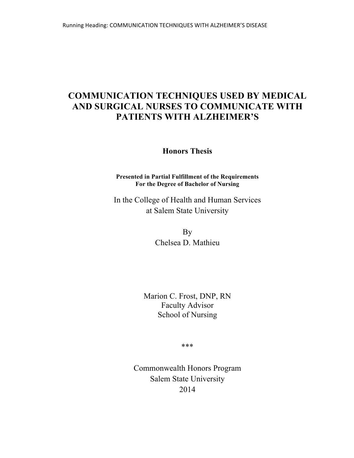# **COMMUNICATION TECHNIQUES USED BY MEDICAL AND SURGICAL NURSES TO COMMUNICATE WITH PATIENTS WITH ALZHEIMER'S**

**Honors Thesis**

**Presented in Partial Fulfillment of the Requirements For the Degree of Bachelor of Nursing**

In the College of Health and Human Services at Salem State University

> By Chelsea D. Mathieu

Marion C. Frost, DNP, RN Faculty Advisor School of Nursing

\*\*\*

Commonwealth Honors Program Salem State University 2014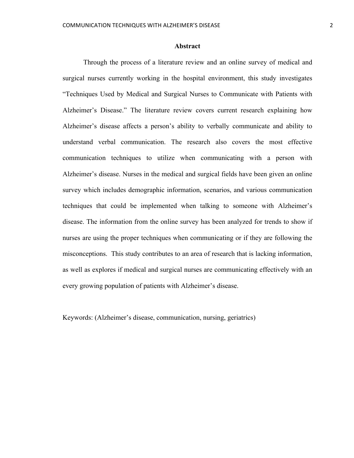#### **Abstract**

Through the process of a literature review and an online survey of medical and surgical nurses currently working in the hospital environment, this study investigates "Techniques Used by Medical and Surgical Nurses to Communicate with Patients with Alzheimer's Disease." The literature review covers current research explaining how Alzheimer's disease affects a person's ability to verbally communicate and ability to understand verbal communication. The research also covers the most effective communication techniques to utilize when communicating with a person with Alzheimer's disease. Nurses in the medical and surgical fields have been given an online survey which includes demographic information, scenarios, and various communication techniques that could be implemented when talking to someone with Alzheimer's disease. The information from the online survey has been analyzed for trends to show if nurses are using the proper techniques when communicating or if they are following the misconceptions. This study contributes to an area of research that is lacking information, as well as explores if medical and surgical nurses are communicating effectively with an every growing population of patients with Alzheimer's disease.

Keywords: (Alzheimer's disease, communication, nursing, geriatrics)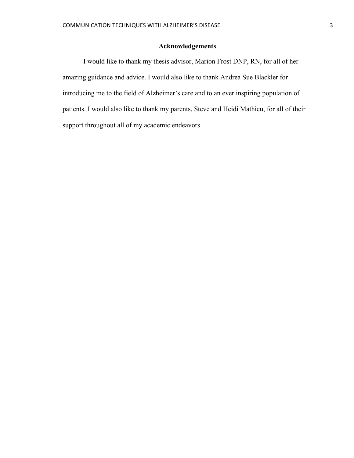# **Acknowledgements**

I would like to thank my thesis advisor, Marion Frost DNP, RN, for all of her amazing guidance and advice. I would also like to thank Andrea Sue Blackler for introducing me to the field of Alzheimer's care and to an ever inspiring population of patients. I would also like to thank my parents, Steve and Heidi Mathieu, for all of their support throughout all of my academic endeavors.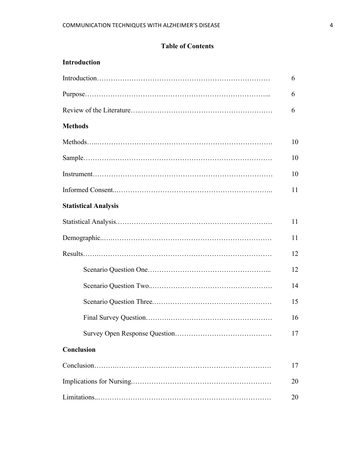# **Table of Contents**

| <b>Introduction</b>         |  |
|-----------------------------|--|
|                             |  |
|                             |  |
|                             |  |
| <b>Methods</b>              |  |
|                             |  |
|                             |  |
|                             |  |
|                             |  |
| <b>Statistical Analysis</b> |  |
|                             |  |
|                             |  |
|                             |  |
|                             |  |
|                             |  |
|                             |  |
|                             |  |
|                             |  |
| Conclusion                  |  |
|                             |  |
|                             |  |
|                             |  |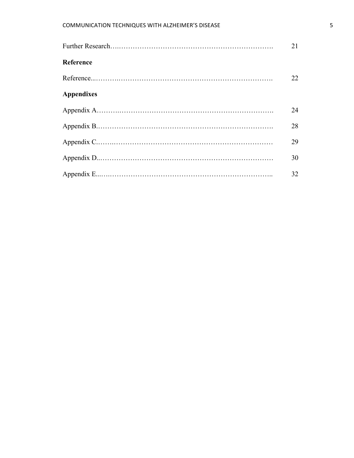|                   | 21 |
|-------------------|----|
| Reference         |    |
|                   | 22 |
| <b>Appendixes</b> |    |
|                   | 24 |
|                   | 28 |
|                   | 29 |
|                   | 30 |
|                   | 32 |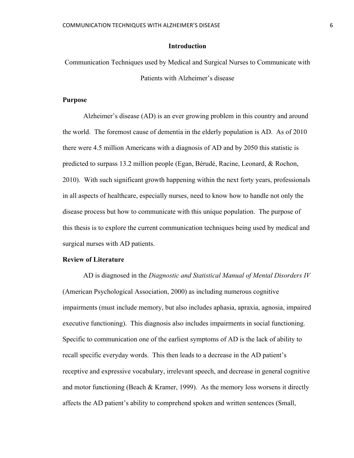### **Introduction**

Communication Techniques used by Medical and Surgical Nurses to Communicate with Patients with Alzheimer's disease

# **Purpose**

Alzheimer's disease (AD) is an ever growing problem in this country and around the world. The foremost cause of dementia in the elderly population is AD. As of 2010 there were 4.5 million Americans with a diagnosis of AD and by 2050 this statistic is predicted to surpass 13.2 million people (Egan, Bérudé, Racine, Leonard, & Rochon, 2010). With such significant growth happening within the next forty years, professionals in all aspects of healthcare, especially nurses, need to know how to handle not only the disease process but how to communicate with this unique population. The purpose of this thesis is to explore the current communication techniques being used by medical and surgical nurses with AD patients.

## **Review of Literature**

AD is diagnosed in the *Diagnostic and Statistical Manual of Mental Disorders IV* (American Psychological Association, 2000) as including numerous cognitive impairments (must include memory, but also includes aphasia, apraxia, agnosia, impaired executive functioning). This diagnosis also includes impairments in social functioning. Specific to communication one of the earliest symptoms of AD is the lack of ability to recall specific everyday words. This then leads to a decrease in the AD patient's receptive and expressive vocabulary, irrelevant speech, and decrease in general cognitive and motor functioning (Beach  $\&$  Kramer, 1999). As the memory loss worsens it directly affects the AD patient's ability to comprehend spoken and written sentences (Small,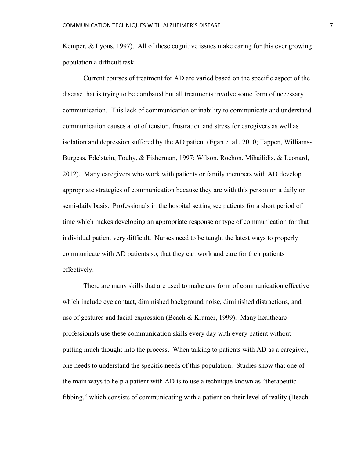Kemper, & Lyons, 1997). All of these cognitive issues make caring for this ever growing population a difficult task.

Current courses of treatment for AD are varied based on the specific aspect of the disease that is trying to be combated but all treatments involve some form of necessary communication. This lack of communication or inability to communicate and understand communication causes a lot of tension, frustration and stress for caregivers as well as isolation and depression suffered by the AD patient (Egan et al., 2010; Tappen, Williams-Burgess, Edelstein, Touhy, & Fisherman, 1997; Wilson, Rochon, Mihailidis, & Leonard, 2012). Many caregivers who work with patients or family members with AD develop appropriate strategies of communication because they are with this person on a daily or semi-daily basis. Professionals in the hospital setting see patients for a short period of time which makes developing an appropriate response or type of communication for that individual patient very difficult. Nurses need to be taught the latest ways to properly communicate with AD patients so, that they can work and care for their patients effectively.

There are many skills that are used to make any form of communication effective which include eye contact, diminished background noise, diminished distractions, and use of gestures and facial expression (Beach & Kramer, 1999). Many healthcare professionals use these communication skills every day with every patient without putting much thought into the process. When talking to patients with AD as a caregiver, one needs to understand the specific needs of this population. Studies show that one of the main ways to help a patient with AD is to use a technique known as "therapeutic fibbing," which consists of communicating with a patient on their level of reality (Beach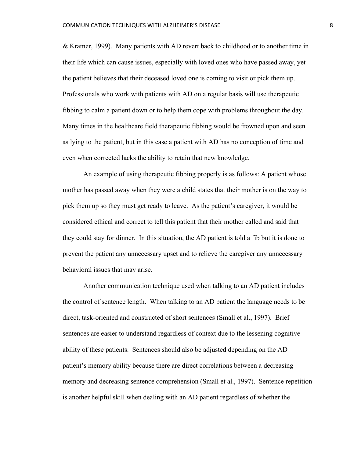& Kramer, 1999). Many patients with AD revert back to childhood or to another time in their life which can cause issues, especially with loved ones who have passed away, yet the patient believes that their deceased loved one is coming to visit or pick them up. Professionals who work with patients with AD on a regular basis will use therapeutic fibbing to calm a patient down or to help them cope with problems throughout the day. Many times in the healthcare field therapeutic fibbing would be frowned upon and seen as lying to the patient, but in this case a patient with AD has no conception of time and even when corrected lacks the ability to retain that new knowledge.

An example of using therapeutic fibbing properly is as follows: A patient whose mother has passed away when they were a child states that their mother is on the way to pick them up so they must get ready to leave. As the patient's caregiver, it would be considered ethical and correct to tell this patient that their mother called and said that they could stay for dinner. In this situation, the AD patient is told a fib but it is done to prevent the patient any unnecessary upset and to relieve the caregiver any unnecessary behavioral issues that may arise.

Another communication technique used when talking to an AD patient includes the control of sentence length. When talking to an AD patient the language needs to be direct, task-oriented and constructed of short sentences (Small et al., 1997). Brief sentences are easier to understand regardless of context due to the lessening cognitive ability of these patients. Sentences should also be adjusted depending on the AD patient's memory ability because there are direct correlations between a decreasing memory and decreasing sentence comprehension (Small et al., 1997). Sentence repetition is another helpful skill when dealing with an AD patient regardless of whether the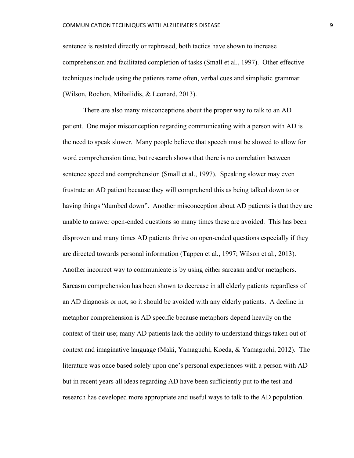sentence is restated directly or rephrased, both tactics have shown to increase comprehension and facilitated completion of tasks (Small et al., 1997). Other effective techniques include using the patients name often, verbal cues and simplistic grammar (Wilson, Rochon, Mihailidis, & Leonard, 2013).

There are also many misconceptions about the proper way to talk to an AD patient. One major misconception regarding communicating with a person with AD is the need to speak slower. Many people believe that speech must be slowed to allow for word comprehension time, but research shows that there is no correlation between sentence speed and comprehension (Small et al., 1997). Speaking slower may even frustrate an AD patient because they will comprehend this as being talked down to or having things "dumbed down". Another misconception about AD patients is that they are unable to answer open-ended questions so many times these are avoided. This has been disproven and many times AD patients thrive on open-ended questions especially if they are directed towards personal information (Tappen et al., 1997; Wilson et al., 2013). Another incorrect way to communicate is by using either sarcasm and/or metaphors. Sarcasm comprehension has been shown to decrease in all elderly patients regardless of an AD diagnosis or not, so it should be avoided with any elderly patients. A decline in metaphor comprehension is AD specific because metaphors depend heavily on the context of their use; many AD patients lack the ability to understand things taken out of context and imaginative language (Maki, Yamaguchi, Koeda, & Yamaguchi, 2012). The literature was once based solely upon one's personal experiences with a person with AD but in recent years all ideas regarding AD have been sufficiently put to the test and research has developed more appropriate and useful ways to talk to the AD population.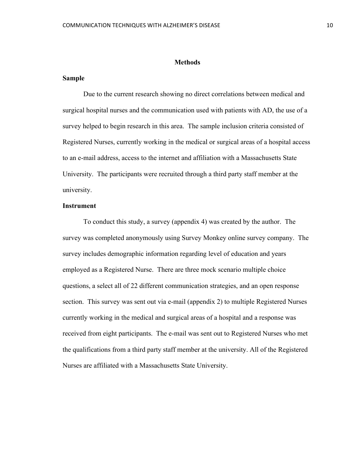#### **Methods**

## **Sample**

Due to the current research showing no direct correlations between medical and surgical hospital nurses and the communication used with patients with AD, the use of a survey helped to begin research in this area. The sample inclusion criteria consisted of Registered Nurses, currently working in the medical or surgical areas of a hospital access to an e-mail address, access to the internet and affiliation with a Massachusetts State University. The participants were recruited through a third party staff member at the university.

#### **Instrument**

To conduct this study, a survey (appendix 4) was created by the author. The survey was completed anonymously using Survey Monkey online survey company. The survey includes demographic information regarding level of education and years employed as a Registered Nurse. There are three mock scenario multiple choice questions, a select all of 22 different communication strategies, and an open response section. This survey was sent out via e-mail (appendix 2) to multiple Registered Nurses currently working in the medical and surgical areas of a hospital and a response was received from eight participants. The e-mail was sent out to Registered Nurses who met the qualifications from a third party staff member at the university. All of the Registered Nurses are affiliated with a Massachusetts State University.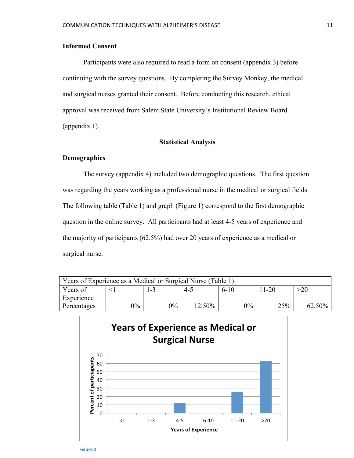# **Informed Consent**

Participants were also required to read a form on consent (appendix 3) before continuing with the survey questions. By completing the Survey Monkey, the medical and surgical nurses granted their consent. Before conducting this research, ethical approval was received from Salem State University's Institutional Review Board (appendix 1).

#### **Statistical Analysis**

### **Demographics**

The survey (appendix 4) included two demographic questions. The first question was regarding the years working as a professional nurse in the medical or surgical fields. The following table (Table 1) and graph (Figure 1) correspond to the first demographic question in the online survey. All participants had at least 4-5 years of experience and the majority of participants (62.5%) had over 20 years of experience as a medical or surgical nurse.

| Years of Experience as a Medical or Surgical Nurse (Table 1) |       |       |        |        |        |        |
|--------------------------------------------------------------|-------|-------|--------|--------|--------|--------|
| Years of                                                     |       | Т÷д   | -4∹    | $6-10$ | ! 1-20 | >20    |
| Experience                                                   |       |       |        |        |        |        |
| Percentages                                                  | $0\%$ | $0\%$ | 12.50% | $0\%$  | 25%    | 62.50% |



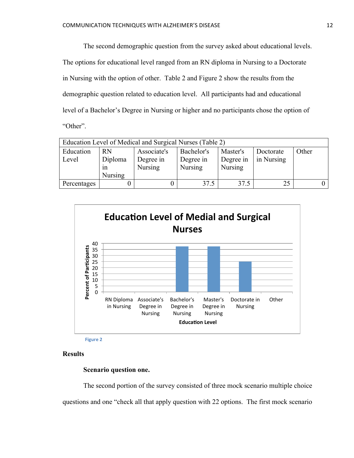The second demographic question from the survey asked about educational levels. The options for educational level ranged from an RN diploma in Nursing to a Doctorate in Nursing with the option of other. Table 2 and Figure 2 show the results from the demographic question related to education level. All participants had and educational level of a Bachelor's Degree in Nursing or higher and no participants chose the option of "Other".

| Education Level of Medical and Surgical Nurses (Table 2) |                |                |                |                |            |       |  |
|----------------------------------------------------------|----------------|----------------|----------------|----------------|------------|-------|--|
| Education                                                | <b>RN</b>      | Associate's    | Bachelor's     | Master's       | Doctorate  | Other |  |
| Level                                                    | Diploma        | Degree in      | Degree in      | Degree in      | in Nursing |       |  |
|                                                          | 1n             | <b>Nursing</b> | <b>Nursing</b> | <b>Nursing</b> |            |       |  |
|                                                          | <b>Nursing</b> |                |                |                |            |       |  |
| Percentages                                              |                |                | 37.5           | 37.5           | 25         |       |  |



**Figure 2**

# **Results**

#### **Scenario question one.**

The second portion of the survey consisted of three mock scenario multiple choice questions and one "check all that apply question with 22 options. The first mock scenario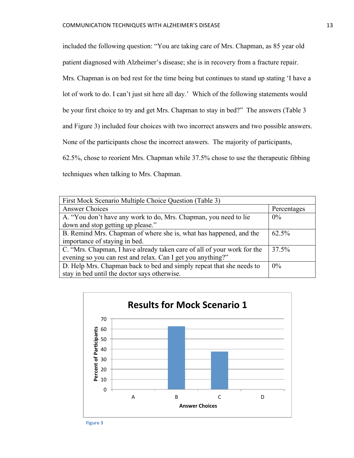included the following question: "You are taking care of Mrs. Chapman, as 85 year old patient diagnosed with Alzheimer's disease; she is in recovery from a fracture repair. Mrs. Chapman is on bed rest for the time being but continues to stand up stating 'I have a lot of work to do. I can't just sit here all day.' Which of the following statements would be your first choice to try and get Mrs. Chapman to stay in bed?" The answers (Table 3 and Figure 3) included four choices with two incorrect answers and two possible answers. None of the participants chose the incorrect answers. The majority of participants, 62.5%, chose to reorient Mrs. Chapman while 37.5% chose to use the therapeutic fibbing techniques when talking to Mrs. Chapman.

| First Mock Scenario Multiple Choice Question (Table 3)                  |             |
|-------------------------------------------------------------------------|-------------|
| <b>Answer Choices</b>                                                   | Percentages |
| A. "You don't have any work to do, Mrs. Chapman, you need to lie        | $0\%$       |
| down and stop getting up please."                                       |             |
| B. Remind Mrs. Chapman of where she is, what has happened, and the      | $62.5\%$    |
| importance of staying in bed.                                           |             |
| C. "Mrs. Chapman, I have already taken care of all of your work for the | 37.5%       |
| evening so you can rest and relax. Can I get you anything?"             |             |
| D. Help Mrs. Chapman back to bed and simply repeat that she needs to    | $0\%$       |
| stay in bed until the doctor says otherwise.                            |             |



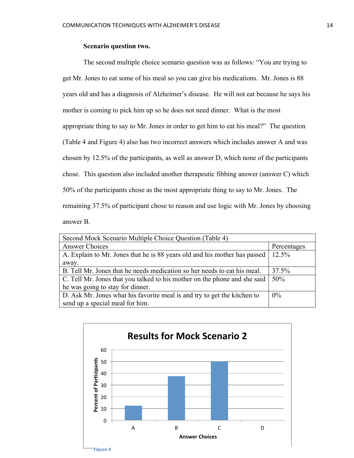## **Scenario question two.**

The second multiple choice scenario question was as follows: "You are trying to get Mr. Jones to eat some of his meal so you can give his medications. Mr. Jones is 88 years old and has a diagnosis of Alzheimer's disease. He will not eat because he says his mother is coming to pick him up so he does not need dinner. What is the most appropriate thing to say to Mr. Jones in order to get him to eat his meal?" The question (Table 4 and Figure 4) also has two incorrect answers which includes answer A and was chosen by 12.5% of the participants, as well as answer D, which none of the participants chose. This question also included another therapeutic fibbing answer (answer C) which 50% of the participants chose as the most appropriate thing to say to Mr. Jones. The remaining 37.5% of participant chose to reason and use logic with Mr. Jones by choosing answer B.

| Second Mock Scenario Multiple Choice Question (Table 4)                   |             |
|---------------------------------------------------------------------------|-------------|
| <b>Answer Choices</b>                                                     | Percentages |
| A. Explain to Mr. Jones that he is 88 years old and his mother has passed | $12.5\%$    |
| away.                                                                     |             |
| B. Tell Mr. Jones that he needs medication so her needs to eat his meal.  | 37.5%       |
| C. Tell Mr. Jones that you talked to his mother on the phone and she said | 50%         |
| he was going to stay for dinner.                                          |             |
| D. Ask Mr. Jones what his favorite meal is and try to get the kitchen to  | $0\%$       |
| send up a special meal for him.                                           |             |

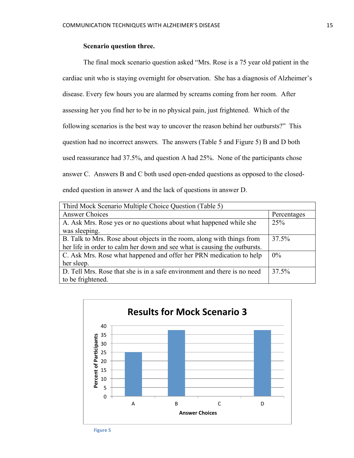# **Scenario question three.**

The final mock scenario question asked "Mrs. Rose is a 75 year old patient in the cardiac unit who is staying overnight for observation. She has a diagnosis of Alzheimer's disease. Every few hours you are alarmed by screams coming from her room. After assessing her you find her to be in no physical pain, just frightened. Which of the following scenarios is the best way to uncover the reason behind her outbursts?" This question had no incorrect answers. The answers (Table 5 and Figure 5) B and D both used reassurance had 37.5%, and question A had 25%. None of the participants chose answer C. Answers B and C both used open-ended questions as opposed to the closedended question in answer A and the lack of questions in answer D.

| Third Mock Scenario Multiple Choice Question (Table 5)                    |             |
|---------------------------------------------------------------------------|-------------|
| <b>Answer Choices</b>                                                     | Percentages |
| A. Ask Mrs. Rose yes or no questions about what happened while she        | 25%         |
| was sleeping.                                                             |             |
| B. Talk to Mrs. Rose about objects in the room, along with things from    | 37.5%       |
| her life in order to calm her down and see what is causing the outbursts. |             |
| C. Ask Mrs. Rose what happened and offer her PRN medication to help       | $0\%$       |
| her sleep.                                                                |             |
| D. Tell Mrs. Rose that she is in a safe environment and there is no need  | 37.5%       |
| to be frightened.                                                         |             |

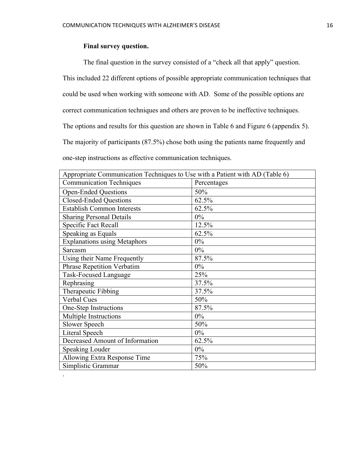# **Final survey question.**

.

The final question in the survey consisted of a "check all that apply" question.

This included 22 different options of possible appropriate communication techniques that

could be used when working with someone with AD. Some of the possible options are

correct communication techniques and others are proven to be ineffective techniques.

The options and results for this question are shown in Table 6 and Figure 6 (appendix 5).

The majority of participants (87.5%) chose both using the patients name frequently and

one-step instructions as effective communication techniques.

| Appropriate Communication Techniques to Use with a Patient with AD (Table 6) |             |  |  |  |
|------------------------------------------------------------------------------|-------------|--|--|--|
| <b>Communication Techniques</b>                                              | Percentages |  |  |  |
| <b>Open-Ended Questions</b>                                                  | 50%         |  |  |  |
| <b>Closed-Ended Questions</b>                                                | 62.5%       |  |  |  |
| <b>Establish Common Interests</b>                                            | 62.5%       |  |  |  |
| <b>Sharing Personal Details</b>                                              | $0\%$       |  |  |  |
| <b>Specific Fact Recall</b>                                                  | 12.5%       |  |  |  |
| Speaking as Equals                                                           | 62.5%       |  |  |  |
| <b>Explanations using Metaphors</b>                                          | $0\%$       |  |  |  |
| Sarcasm                                                                      | $0\%$       |  |  |  |
| Using their Name Frequently                                                  | 87.5%       |  |  |  |
| <b>Phrase Repetition Verbatim</b>                                            | $0\%$       |  |  |  |
| <b>Task-Focused Language</b>                                                 | 25%         |  |  |  |
| Rephrasing                                                                   | 37.5%       |  |  |  |
| Therapeutic Fibbing                                                          | 37.5%       |  |  |  |
| <b>Verbal Cues</b>                                                           | 50%         |  |  |  |
| One-Step Instructions                                                        | 87.5%       |  |  |  |
| <b>Multiple Instructions</b>                                                 | $0\%$       |  |  |  |
| <b>Slower Speech</b>                                                         | 50%         |  |  |  |
| Literal Speech                                                               | $0\%$       |  |  |  |
| Decreased Amount of Information                                              | 62.5%       |  |  |  |
| <b>Speaking Louder</b>                                                       | $0\%$       |  |  |  |
| Allowing Extra Response Time                                                 | 75%         |  |  |  |
| Simplistic Grammar                                                           | 50%         |  |  |  |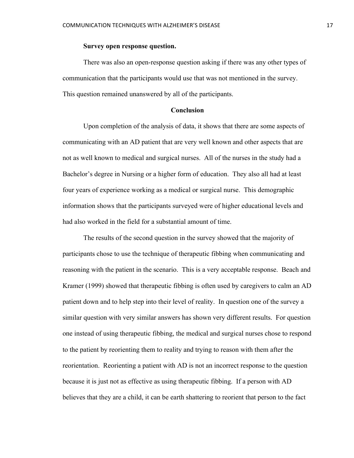# **Survey open response question.**

There was also an open-response question asking if there was any other types of communication that the participants would use that was not mentioned in the survey. This question remained unanswered by all of the participants.

#### **Conclusion**

Upon completion of the analysis of data, it shows that there are some aspects of communicating with an AD patient that are very well known and other aspects that are not as well known to medical and surgical nurses. All of the nurses in the study had a Bachelor's degree in Nursing or a higher form of education. They also all had at least four years of experience working as a medical or surgical nurse. This demographic information shows that the participants surveyed were of higher educational levels and had also worked in the field for a substantial amount of time.

The results of the second question in the survey showed that the majority of participants chose to use the technique of therapeutic fibbing when communicating and reasoning with the patient in the scenario. This is a very acceptable response. Beach and Kramer (1999) showed that therapeutic fibbing is often used by caregivers to calm an AD patient down and to help step into their level of reality. In question one of the survey a similar question with very similar answers has shown very different results. For question one instead of using therapeutic fibbing, the medical and surgical nurses chose to respond to the patient by reorienting them to reality and trying to reason with them after the reorientation. Reorienting a patient with AD is not an incorrect response to the question because it is just not as effective as using therapeutic fibbing. If a person with AD believes that they are a child, it can be earth shattering to reorient that person to the fact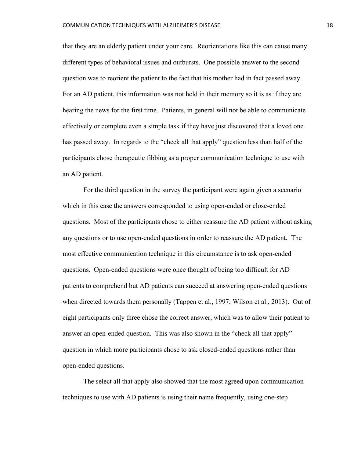that they are an elderly patient under your care. Reorientations like this can cause many different types of behavioral issues and outbursts. One possible answer to the second question was to reorient the patient to the fact that his mother had in fact passed away. For an AD patient, this information was not held in their memory so it is as if they are hearing the news for the first time. Patients, in general will not be able to communicate effectively or complete even a simple task if they have just discovered that a loved one has passed away. In regards to the "check all that apply" question less than half of the participants chose therapeutic fibbing as a proper communication technique to use with an AD patient.

For the third question in the survey the participant were again given a scenario which in this case the answers corresponded to using open-ended or close-ended questions. Most of the participants chose to either reassure the AD patient without asking any questions or to use open-ended questions in order to reassure the AD patient. The most effective communication technique in this circumstance is to ask open-ended questions. Open-ended questions were once thought of being too difficult for AD patients to comprehend but AD patients can succeed at answering open-ended questions when directed towards them personally (Tappen et al., 1997; Wilson et al., 2013). Out of eight participants only three chose the correct answer, which was to allow their patient to answer an open-ended question. This was also shown in the "check all that apply" question in which more participants chose to ask closed-ended questions rather than open-ended questions.

The select all that apply also showed that the most agreed upon communication techniques to use with AD patients is using their name frequently, using one-step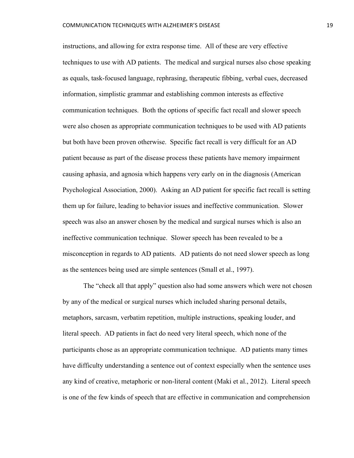instructions, and allowing for extra response time. All of these are very effective techniques to use with AD patients. The medical and surgical nurses also chose speaking as equals, task-focused language, rephrasing, therapeutic fibbing, verbal cues, decreased information, simplistic grammar and establishing common interests as effective communication techniques. Both the options of specific fact recall and slower speech were also chosen as appropriate communication techniques to be used with AD patients but both have been proven otherwise. Specific fact recall is very difficult for an AD patient because as part of the disease process these patients have memory impairment causing aphasia, and agnosia which happens very early on in the diagnosis (American Psychological Association, 2000). Asking an AD patient for specific fact recall is setting them up for failure, leading to behavior issues and ineffective communication. Slower speech was also an answer chosen by the medical and surgical nurses which is also an ineffective communication technique. Slower speech has been revealed to be a misconception in regards to AD patients. AD patients do not need slower speech as long as the sentences being used are simple sentences (Small et al., 1997).

The "check all that apply" question also had some answers which were not chosen by any of the medical or surgical nurses which included sharing personal details, metaphors, sarcasm, verbatim repetition, multiple instructions, speaking louder, and literal speech. AD patients in fact do need very literal speech, which none of the participants chose as an appropriate communication technique. AD patients many times have difficulty understanding a sentence out of context especially when the sentence uses any kind of creative, metaphoric or non-literal content (Maki et al., 2012). Literal speech is one of the few kinds of speech that are effective in communication and comprehension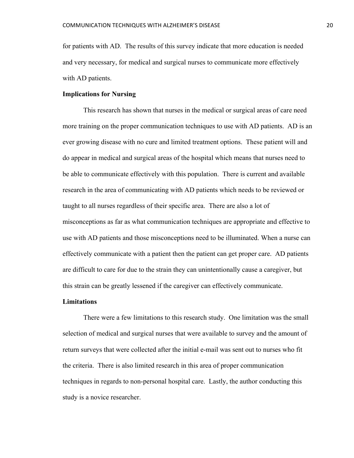for patients with AD. The results of this survey indicate that more education is needed and very necessary, for medical and surgical nurses to communicate more effectively with AD patients.

#### **Implications for Nursing**

This research has shown that nurses in the medical or surgical areas of care need more training on the proper communication techniques to use with AD patients. AD is an ever growing disease with no cure and limited treatment options. These patient will and do appear in medical and surgical areas of the hospital which means that nurses need to be able to communicate effectively with this population. There is current and available research in the area of communicating with AD patients which needs to be reviewed or taught to all nurses regardless of their specific area. There are also a lot of misconceptions as far as what communication techniques are appropriate and effective to use with AD patients and those misconceptions need to be illuminated. When a nurse can effectively communicate with a patient then the patient can get proper care. AD patients are difficult to care for due to the strain they can unintentionally cause a caregiver, but this strain can be greatly lessened if the caregiver can effectively communicate.

### **Limitations**

There were a few limitations to this research study. One limitation was the small selection of medical and surgical nurses that were available to survey and the amount of return surveys that were collected after the initial e-mail was sent out to nurses who fit the criteria. There is also limited research in this area of proper communication techniques in regards to non-personal hospital care. Lastly, the author conducting this study is a novice researcher.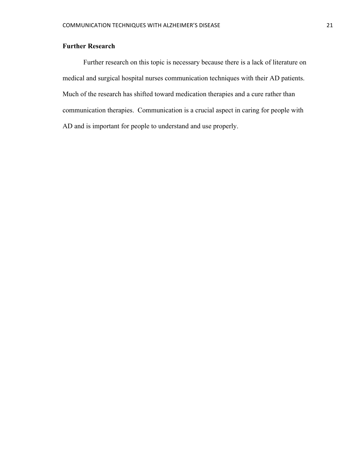# **Further Research**

Further research on this topic is necessary because there is a lack of literature on medical and surgical hospital nurses communication techniques with their AD patients. Much of the research has shifted toward medication therapies and a cure rather than communication therapies. Communication is a crucial aspect in caring for people with AD and is important for people to understand and use properly.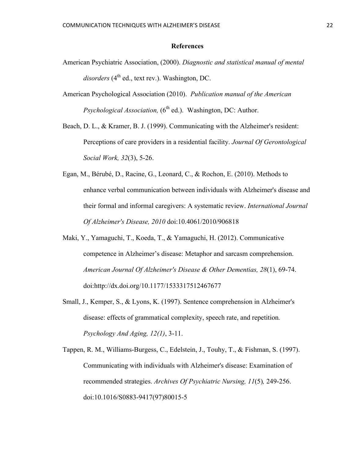## **References**

- American Psychiatric Association, (2000). *Diagnostic and statistical manual of mental*   $disorders$  ( $4<sup>th</sup>$  ed., text rev.). Washington, DC.
- American Psychological Association (2010). *Publication manual of the American Psychological Association,* (6<sup>th</sup> ed.). Washington, DC: Author.

Beach, D. L., & Kramer, B. J. (1999). Communicating with the Alzheimer's resident: Perceptions of care providers in a residential facility. *Journal Of Gerontological Social Work, 32*(3), 5-26.

- Egan, M., Bérubé, D., Racine, G., Leonard, C., & Rochon, E. (2010). Methods to enhance verbal communication between individuals with Alzheimer's disease and their formal and informal caregivers: A systematic review. *International Journal Of Alzheimer's Disease, 2010* doi:10.4061/2010/906818
- Maki, Y., Yamaguchi, T., Koeda, T., & Yamaguchi, H. (2012). Communicative competence in Alzheimer's disease: Metaphor and sarcasm comprehension. *American Journal Of Alzheimer's Disease & Other Dementias, 28*(1), 69-74. doi:http://dx.doi.org/10.1177/1533317512467677
- Small, J., Kemper, S., & Lyons, K. (1997). Sentence comprehension in Alzheimer's disease: effects of grammatical complexity, speech rate, and repetition*. Psychology And Aging, 12(1)*, 3-11.

Tappen, R. M., Williams-Burgess, C., Edelstein, J., Touhy, T., & Fishman, S. (1997). Communicating with individuals with Alzheimer's disease: Examination of recommended strategies. *Archives Of Psychiatric Nursing, 11*(5)*,* 249-256. doi:10.1016/S0883-9417(97)80015-5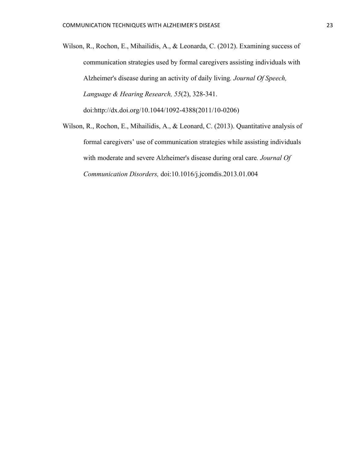- Wilson, R., Rochon, E., Mihailidis, A., & Leonarda, C. (2012). Examining success of communication strategies used by formal caregivers assisting individuals with Alzheimer's disease during an activity of daily living*. Journal Of Speech, Language & Hearing Research, 55*(2), 328-341. doi:http://dx.doi.org/10.1044/1092-4388(2011/10-0206)
- Wilson, R., Rochon, E., Mihailidis, A., & Leonard, C. (2013). Quantitative analysis of formal caregivers' use of communication strategies while assisting individuals with moderate and severe Alzheimer's disease during oral care*. Journal Of Communication Disorders,* doi:10.1016/j.jcomdis.2013.01.004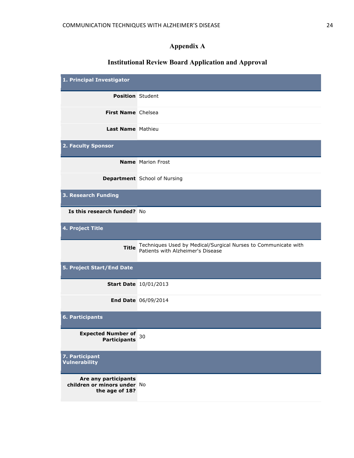# **Appendix A**

# **Institutional Review Board Application and Approval**

| 1. Principal Investigator                                             |                                                                                                     |
|-----------------------------------------------------------------------|-----------------------------------------------------------------------------------------------------|
| <b>Position</b> Student                                               |                                                                                                     |
| First Name Chelsea                                                    |                                                                                                     |
| Last Name Mathieu                                                     |                                                                                                     |
| 2. Faculty Sponsor                                                    |                                                                                                     |
|                                                                       | <b>Name</b> Marion Frost                                                                            |
|                                                                       | <b>Department</b> School of Nursing                                                                 |
| 3. Research Funding                                                   |                                                                                                     |
| Is this research funded? No                                           |                                                                                                     |
| 4. Project Title                                                      |                                                                                                     |
| <b>Title</b>                                                          | Techniques Used by Medical/Surgical Nurses to Communicate with<br>Patients with Alzheimer's Disease |
| 5. Project Start/End Date                                             |                                                                                                     |
|                                                                       | <b>Start Date</b> 10/01/2013                                                                        |
|                                                                       | <b>End Date 06/09/2014</b>                                                                          |
| 6. Participants                                                       |                                                                                                     |
| <b>Expected Number of</b><br><b>Participants</b>                      | 30                                                                                                  |
| 7. Participant<br><b>Vulnerability</b>                                |                                                                                                     |
| Are any participants<br>children or minors under No<br>the age of 18? |                                                                                                     |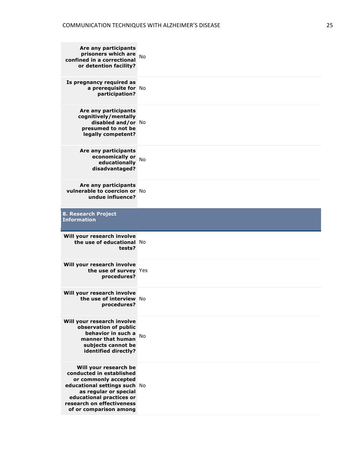| Are any participants<br>prisoners which are<br>confined in a correctional<br>or detention facility?                                          | <b>No</b> |
|----------------------------------------------------------------------------------------------------------------------------------------------|-----------|
| Is pregnancy required as<br>a prerequisite for No<br>participation?                                                                          |           |
| Are any participants<br>cognitively/mentally<br>disabled and/or No<br>presumed to not be<br>legally competent?                               |           |
| Are any participants<br>economically or<br>educationally<br>disadvantaged?                                                                   | No        |
| Are any participants<br>vulnerable to coercion or No<br>undue influence?                                                                     |           |
| 8. Research Project<br><b>Information</b>                                                                                                    |           |
| Will your research involve<br>the use of educational No<br>tests?                                                                            |           |
| Will your research involve<br>the use of survey Yes<br>procedures?                                                                           |           |
| Will your research involve<br>the use of interview No<br>procedures?                                                                         |           |
| Will your research involve<br>observation of public<br>behavior in such a<br>manner that human<br>subjects cannot be<br>identified directly? | <b>No</b> |
|                                                                                                                                              |           |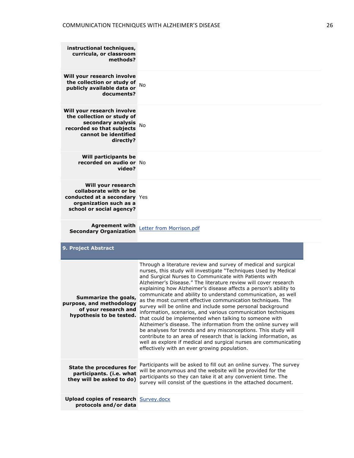| instructional techniques,<br>curricula, or classroom<br>methods?                                                                                 |                                                                                                                                                                                                                                                                                                                                                                                                                                                                                                                                                                                                                                                                                                                                                                                                                                                                                                                                                                                         |
|--------------------------------------------------------------------------------------------------------------------------------------------------|-----------------------------------------------------------------------------------------------------------------------------------------------------------------------------------------------------------------------------------------------------------------------------------------------------------------------------------------------------------------------------------------------------------------------------------------------------------------------------------------------------------------------------------------------------------------------------------------------------------------------------------------------------------------------------------------------------------------------------------------------------------------------------------------------------------------------------------------------------------------------------------------------------------------------------------------------------------------------------------------|
| Will your research involve<br>the collection or study of $_{\text{No}}$<br>publicly available data or<br>documents?                              |                                                                                                                                                                                                                                                                                                                                                                                                                                                                                                                                                                                                                                                                                                                                                                                                                                                                                                                                                                                         |
| Will your research involve<br>the collection or study of<br>secondary analysis<br>recorded so that subjects<br>cannot be identified<br>directly? | <b>No</b>                                                                                                                                                                                                                                                                                                                                                                                                                                                                                                                                                                                                                                                                                                                                                                                                                                                                                                                                                                               |
| <b>Will participants be</b><br>recorded on audio or No<br>video?                                                                                 |                                                                                                                                                                                                                                                                                                                                                                                                                                                                                                                                                                                                                                                                                                                                                                                                                                                                                                                                                                                         |
| Will your research<br>collaborate with or be<br>conducted at a secondary Yes<br>organization such as a<br>school or social agency?               |                                                                                                                                                                                                                                                                                                                                                                                                                                                                                                                                                                                                                                                                                                                                                                                                                                                                                                                                                                                         |
| <b>Agreement with</b><br><b>Secondary Organization</b>                                                                                           | Letter from Morrison.pdf                                                                                                                                                                                                                                                                                                                                                                                                                                                                                                                                                                                                                                                                                                                                                                                                                                                                                                                                                                |
| 9. Project Abstract                                                                                                                              |                                                                                                                                                                                                                                                                                                                                                                                                                                                                                                                                                                                                                                                                                                                                                                                                                                                                                                                                                                                         |
| Summarize the goals,<br>purpose, and methodology<br>of your research and<br>hypothesis to be tested.                                             | Through a literature review and survey of medical and surgical<br>nurses, this study will investigate "Techniques Used by Medical<br>and Surgical Nurses to Communicate with Patients with<br>Alzheimer's Disease." The literature review will cover research<br>explaining how Alzheimer's disease affects a person's ability to<br>communicate and ability to understand communication, as well<br>as the most current effective communication techniques. The<br>survey will be online and include some personal background<br>information, scenarios, and various communication techniques<br>that could be implemented when talking to someone with<br>Alzheimer's disease. The information from the online survey will<br>be analyses for trends and any misconceptions. This study will<br>contribute to an area of research that is lacking information, as<br>well as explore if medical and surgical nurses are communicating<br>effectively with an ever growing population. |
| <b>State the procedures for</b><br>participants. (i.e. what<br>they will be asked to do)                                                         | Participants will be asked to fill out an online survey. The survey<br>will be anonymous and the website will be provided for the<br>participants so they can take it at any convenient time. The<br>survey will consist of the questions in the attached document.                                                                                                                                                                                                                                                                                                                                                                                                                                                                                                                                                                                                                                                                                                                     |
| <b>Upload copies of research Survey.docx</b>                                                                                                     |                                                                                                                                                                                                                                                                                                                                                                                                                                                                                                                                                                                                                                                                                                                                                                                                                                                                                                                                                                                         |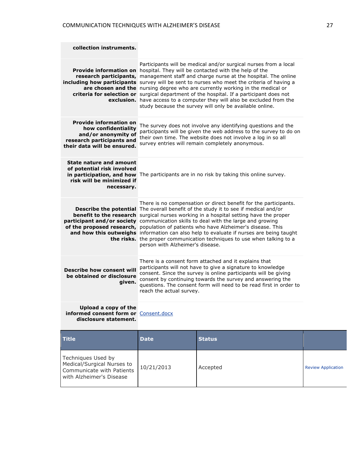Communicate with Patients with Alzheimer's Disease

| collection instruments.                                                                                                                 |                                                                                                                                                                                                                                                                                                                                                         |                                                                                                                                                                                                                                                                                                                                                                                                                                                                                                                                                                                                                                                                   |                           |
|-----------------------------------------------------------------------------------------------------------------------------------------|---------------------------------------------------------------------------------------------------------------------------------------------------------------------------------------------------------------------------------------------------------------------------------------------------------------------------------------------------------|-------------------------------------------------------------------------------------------------------------------------------------------------------------------------------------------------------------------------------------------------------------------------------------------------------------------------------------------------------------------------------------------------------------------------------------------------------------------------------------------------------------------------------------------------------------------------------------------------------------------------------------------------------------------|---------------------------|
|                                                                                                                                         |                                                                                                                                                                                                                                                                                                                                                         | Participants will be medical and/or surgical nurses from a local<br><b>Provide information on</b> hospital. They will be contacted with the help of the<br>research participants, management staff and charge nurse at the hospital. The online<br>including how participants survey will be sent to nurses who meet the criteria of having a<br>are chosen and the nursing degree who are currently working in the medical or<br>criteria for selection or surgical department of the hospital. If a participant does not<br>exclusion. have access to a computer they will also be excluded from the<br>study because the survey will only be available online. |                           |
| <b>Provide information on</b><br>how confidentiality<br>and/or anonymity of<br>research participants and<br>their data will be ensured. |                                                                                                                                                                                                                                                                                                                                                         | The survey does not involve any identifying questions and the<br>participants will be given the web address to the survey to do on<br>their own time. The website does not involve a log in so all<br>survey entries will remain completely anonymous.                                                                                                                                                                                                                                                                                                                                                                                                            |                           |
| <b>State nature and amount</b><br>of potential risk involved<br>risk will be minimized if<br>necessary.                                 |                                                                                                                                                                                                                                                                                                                                                         | in participation, and how The participants are in no risk by taking this online survey.                                                                                                                                                                                                                                                                                                                                                                                                                                                                                                                                                                           |                           |
|                                                                                                                                         | person with Alzheimer's disease.                                                                                                                                                                                                                                                                                                                        | There is no compensation or direct benefit for the participants.<br><b>Describe the potential</b> The overall benefit of the study it to see if medical and/or<br><b>benefit to the research</b> surgical nurses working in a hospital setting have the proper<br>participant and/or society communication skills to deal with the large and growing<br>of the proposed research, population of patients who have Alzheimer's disease. This<br>and how this outweighs information can also help to evaluate if nurses are being taught<br>the risks. the proper communication techniques to use when talking to a                                                 |                           |
| <b>Describe how consent will</b><br>be obtained or disclosure<br>given.                                                                 | There is a consent form attached and it explains that<br>participants will not have to give a signature to knowledge<br>consent. Since the survey is online participants will be giving<br>consent by continuing towards the survey and answering the<br>questions. The consent form will need to be read first in order to<br>reach the actual survey. |                                                                                                                                                                                                                                                                                                                                                                                                                                                                                                                                                                                                                                                                   |                           |
| Upload a copy of the<br>informed consent form or Consent.docx<br>disclosure statement.                                                  |                                                                                                                                                                                                                                                                                                                                                         |                                                                                                                                                                                                                                                                                                                                                                                                                                                                                                                                                                                                                                                                   |                           |
| <b>Title</b>                                                                                                                            | <b>Date</b>                                                                                                                                                                                                                                                                                                                                             | <b>Status</b>                                                                                                                                                                                                                                                                                                                                                                                                                                                                                                                                                                                                                                                     |                           |
| Techniques Used by<br>Medical/Surgical Nurses to<br>Communicate with Patients                                                           | 10/21/2013                                                                                                                                                                                                                                                                                                                                              | Accepted                                                                                                                                                                                                                                                                                                                                                                                                                                                                                                                                                                                                                                                          | <b>Review Application</b> |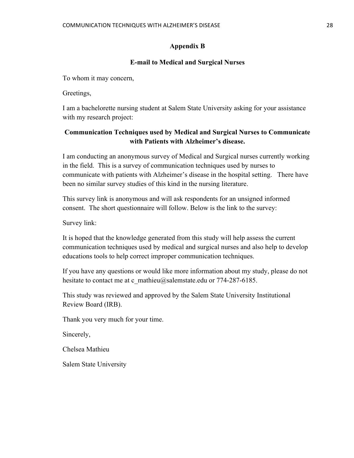# **Appendix B**

# **E-mail to Medical and Surgical Nurses**

To whom it may concern,

Greetings,

I am a bachelorette nursing student at Salem State University asking for your assistance with my research project:

# **Communication Techniques used by Medical and Surgical Nurses to Communicate with Patients with Alzheimer's disease.**

I am conducting an anonymous survey of Medical and Surgical nurses currently working in the field. This is a survey of communication techniques used by nurses to communicate with patients with Alzheimer's disease in the hospital setting. There have been no similar survey studies of this kind in the nursing literature.

This survey link is anonymous and will ask respondents for an unsigned informed consent. The short questionnaire will follow. Below is the link to the survey:

Survey link:

It is hoped that the knowledge generated from this study will help assess the current communication techniques used by medical and surgical nurses and also help to develop educations tools to help correct improper communication techniques.

If you have any questions or would like more information about my study, please do not hesitate to contact me at c\_mathieu@salemstate.edu or 774-287-6185.

This study was reviewed and approved by the Salem State University Institutional Review Board (IRB).

Thank you very much for your time.

Sincerely,

Chelsea Mathieu

Salem State University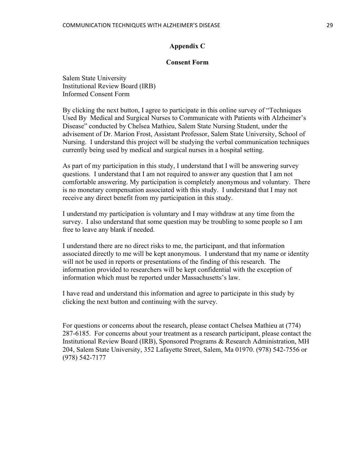# **Appendix C**

#### **Consent Form**

Salem State University Institutional Review Board (IRB) Informed Consent Form

By clicking the next button, I agree to participate in this online survey of "Techniques Used By Medical and Surgical Nurses to Communicate with Patients with Alzheimer's Disease" conducted by Chelsea Mathieu, Salem State Nursing Student, under the advisement of Dr. Marion Frost, Assistant Professor, Salem State University, School of Nursing. I understand this project will be studying the verbal communication techniques currently being used by medical and surgical nurses in a hospital setting.

As part of my participation in this study, I understand that I will be answering survey questions. I understand that I am not required to answer any question that I am not comfortable answering. My participation is completely anonymous and voluntary. There is no monetary compensation associated with this study. I understand that I may not receive any direct benefit from my participation in this study.

I understand my participation is voluntary and I may withdraw at any time from the survey. I also understand that some question may be troubling to some people so I am free to leave any blank if needed.

I understand there are no direct risks to me, the participant, and that information associated directly to me will be kept anonymous. I understand that my name or identity will not be used in reports or presentations of the finding of this research. The information provided to researchers will be kept confidential with the exception of information which must be reported under Massachusetts's law.

I have read and understand this information and agree to participate in this study by clicking the next button and continuing with the survey.

For questions or concerns about the research, please contact Chelsea Mathieu at (774) 287-6185. For concerns about your treatment as a research participant, please contact the Institutional Review Board (IRB), Sponsored Programs & Research Administration, MH 204, Salem State University, 352 Lafayette Street, Salem, Ma 01970. (978) 542-7556 or (978) 542-7177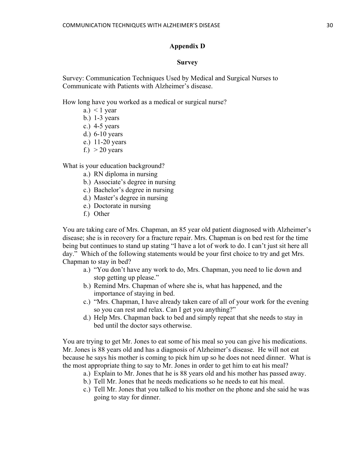# **Appendix D**

#### **Survey**

Survey: Communication Techniques Used by Medical and Surgical Nurses to Communicate with Patients with Alzheimer's disease.

How long have you worked as a medical or surgical nurse?

- a.)  $\leq 1$  year
- b.) 1-3 years
- c.) 4-5 years
- d.) 6-10 years
- e.) 11-20 years
- f.)  $> 20$  years

What is your education background?

- a.) RN diploma in nursing
- b.) Associate's degree in nursing
- c.) Bachelor's degree in nursing
- d.) Master's degree in nursing
- e.) Doctorate in nursing
- f.) Other

You are taking care of Mrs. Chapman, an 85 year old patient diagnosed with Alzheimer's disease; she is in recovery for a fracture repair. Mrs. Chapman is on bed rest for the time being but continues to stand up stating "I have a lot of work to do. I can't just sit here all day." Which of the following statements would be your first choice to try and get Mrs. Chapman to stay in bed?

- a.) "You don't have any work to do, Mrs. Chapman, you need to lie down and stop getting up please."
- b.) Remind Mrs. Chapman of where she is, what has happened, and the importance of staying in bed.
- c.) "Mrs. Chapman, I have already taken care of all of your work for the evening so you can rest and relax. Can I get you anything?"
- d.) Help Mrs. Chapman back to bed and simply repeat that she needs to stay in bed until the doctor says otherwise.

You are trying to get Mr. Jones to eat some of his meal so you can give his medications. Mr. Jones is 88 years old and has a diagnosis of Alzheimer's disease. He will not eat because he says his mother is coming to pick him up so he does not need dinner. What is the most appropriate thing to say to Mr. Jones in order to get him to eat his meal?

- a.) Explain to Mr. Jones that he is 88 years old and his mother has passed away.
- b.) Tell Mr. Jones that he needs medications so he needs to eat his meal.
- c.) Tell Mr. Jones that you talked to his mother on the phone and she said he was going to stay for dinner.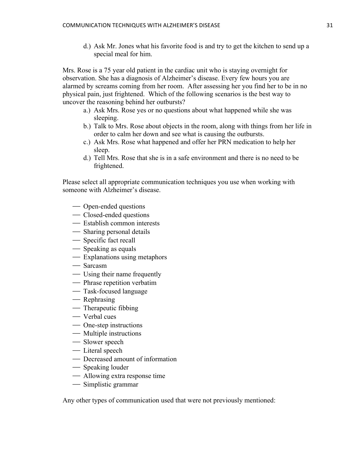d.) Ask Mr. Jones what his favorite food is and try to get the kitchen to send up a special meal for him.

Mrs. Rose is a 75 year old patient in the cardiac unit who is staying overnight for observation. She has a diagnosis of Alzheimer's disease. Every few hours you are alarmed by screams coming from her room. After assessing her you find her to be in no physical pain, just frightened. Which of the following scenarios is the best way to uncover the reasoning behind her outbursts?

- a.) Ask Mrs. Rose yes or no questions about what happened while she was sleeping.
- b.) Talk to Mrs. Rose about objects in the room, along with things from her life in order to calm her down and see what is causing the outbursts.
- c.) Ask Mrs. Rose what happened and offer her PRN medication to help her sleep.
- d.) Tell Mrs. Rose that she is in a safe environment and there is no need to be frightened.

Please select all appropriate communication techniques you use when working with someone with Alzheimer's disease.

- Open-ended questions
- Closed-ended questions
- Establish common interests
- Sharing personal details
- Specific fact recall
- Speaking as equals
- Explanations using metaphors
- Sarcasm
- Using their name frequently
- Phrase repetition verbatim
- Task-focused language
- Rephrasing
- Therapeutic fibbing
- Verbal cues
- One-step instructions
- Multiple instructions
- Slower speech
- Literal speech
- Decreased amount of information
- Speaking louder
- Allowing extra response time
- Simplistic grammar

Any other types of communication used that were not previously mentioned: